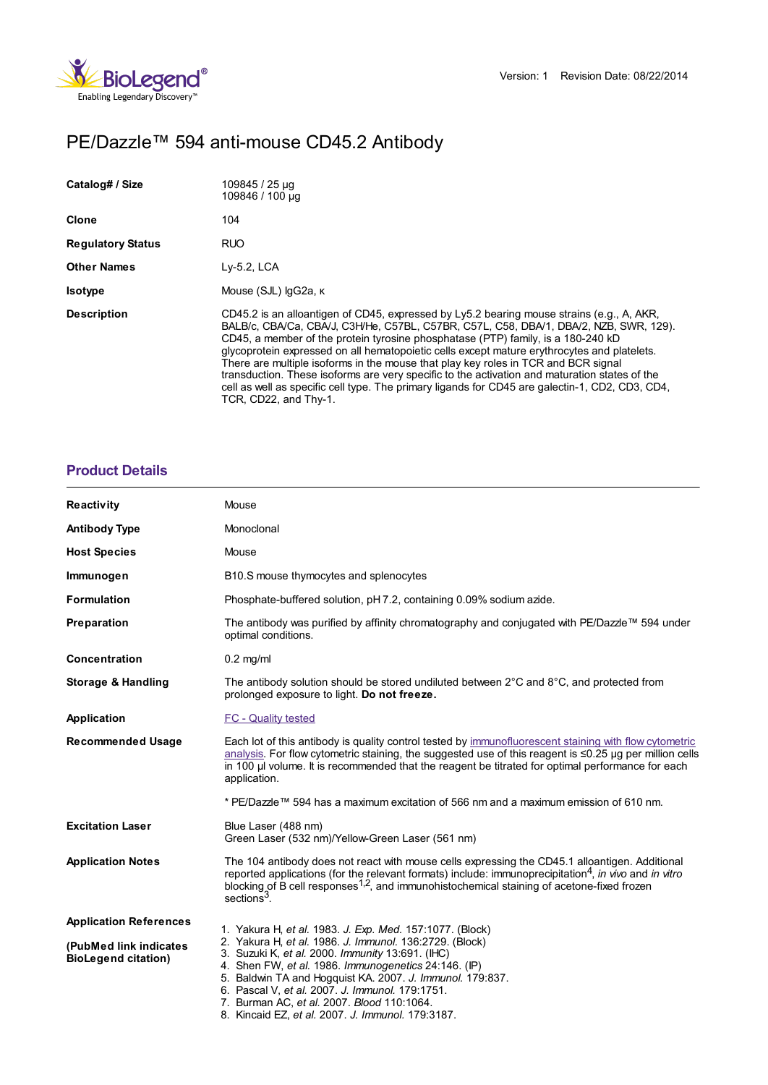

# PE/Dazzle™ 594 anti-mouse CD45.2 Antibody

| Catalog# / Size          | 109845 / 25 µg<br>109846 / 100 µg                                                                                                                                                                                                                                                                                                                                                                                                                                                                                                                                                                                                                                                        |
|--------------------------|------------------------------------------------------------------------------------------------------------------------------------------------------------------------------------------------------------------------------------------------------------------------------------------------------------------------------------------------------------------------------------------------------------------------------------------------------------------------------------------------------------------------------------------------------------------------------------------------------------------------------------------------------------------------------------------|
| <b>Clone</b>             | 104                                                                                                                                                                                                                                                                                                                                                                                                                                                                                                                                                                                                                                                                                      |
| <b>Regulatory Status</b> | <b>RUO</b>                                                                                                                                                                                                                                                                                                                                                                                                                                                                                                                                                                                                                                                                               |
| <b>Other Names</b>       | $Ly-5.2$ , LCA                                                                                                                                                                                                                                                                                                                                                                                                                                                                                                                                                                                                                                                                           |
| <b>Isotype</b>           | Mouse (SJL) lgG2a, к                                                                                                                                                                                                                                                                                                                                                                                                                                                                                                                                                                                                                                                                     |
| <b>Description</b>       | CD45.2 is an alloantigen of CD45, expressed by Ly5.2 bearing mouse strains (e.g., A, AKR,<br>BALB/c, CBA/Ca, CBA/J, C3H/He, C57BL, C57BR, C57L, C58, DBA/1, DBA/2, NZB, SWR, 129).<br>CD45, a member of the protein tyrosine phosphatase (PTP) family, is a 180-240 kD<br>glycoprotein expressed on all hematopoietic cells except mature erythrocytes and platelets.<br>There are multiple isoforms in the mouse that play key roles in TCR and BCR signal<br>transduction. These isoforms are very specific to the activation and maturation states of the<br>cell as well as specific cell type. The primary ligands for CD45 are galectin-1, CD2, CD3, CD4,<br>TCR, CD22, and Thy-1. |

# **[Product](https://www.biolegend.com/ja-jp/products/pe-dazzle-594-anti-mouse-cd45-2-antibody-10261?pdf=true&displayInline=true&leftRightMargin=15&topBottomMargin=15&filename=PE/Dazzle%EF%BF%BD%EF%BF%BD%EF%BF%BD 594 anti-mouse CD45.2 Antibody.pdf#productDetails) Details**

| <b>Reactivity</b>                                    | Mouse                                                                                                                                                                                                                                                                                                                                                                                  |
|------------------------------------------------------|----------------------------------------------------------------------------------------------------------------------------------------------------------------------------------------------------------------------------------------------------------------------------------------------------------------------------------------------------------------------------------------|
| <b>Antibody Type</b>                                 | Monoclonal                                                                                                                                                                                                                                                                                                                                                                             |
| <b>Host Species</b>                                  | Mouse                                                                                                                                                                                                                                                                                                                                                                                  |
| Immunogen                                            | B10.S mouse thymocytes and splenocytes                                                                                                                                                                                                                                                                                                                                                 |
| <b>Formulation</b>                                   | Phosphate-buffered solution, pH 7.2, containing 0.09% sodium azide.                                                                                                                                                                                                                                                                                                                    |
| Preparation                                          | The antibody was purified by affinity chromatography and conjugated with PE/Dazzle™ 594 under<br>optimal conditions.                                                                                                                                                                                                                                                                   |
| <b>Concentration</b>                                 | $0.2$ mg/ml                                                                                                                                                                                                                                                                                                                                                                            |
| <b>Storage &amp; Handling</b>                        | The antibody solution should be stored undiluted between 2°C and 8°C, and protected from<br>prolonged exposure to light. Do not freeze.                                                                                                                                                                                                                                                |
| Application                                          | FC - Quality tested                                                                                                                                                                                                                                                                                                                                                                    |
| <b>Recommended Usage</b>                             | Each lot of this antibody is quality control tested by immunofluorescent staining with flow cytometric<br>analysis. For flow cytometric staining, the suggested use of this reagent is $\leq 0.25$ µg per million cells<br>in 100 µl volume. It is recommended that the reagent be titrated for optimal performance for each<br>application.                                           |
|                                                      | * PE/Dazzle™ 594 has a maximum excitation of 566 nm and a maximum emission of 610 nm.                                                                                                                                                                                                                                                                                                  |
| <b>Excitation Laser</b>                              | Blue Laser (488 nm)<br>Green Laser (532 nm)/Yellow-Green Laser (561 nm)                                                                                                                                                                                                                                                                                                                |
| <b>Application Notes</b>                             | The 104 antibody does not react with mouse cells expressing the CD45.1 alloantigen. Additional<br>reported applications (for the relevant formats) include: immunoprecipitation <sup>4</sup> , in $\vec{w}$ wo and in vitro<br>blocking of B cell responses <sup>1,2</sup> , and immunohistochemical staining of acetone-fixed frozen<br>sections <sup>3</sup> .                       |
| <b>Application References</b>                        | 1. Yakura H, et al. 1983. J. Exp. Med. 157:1077. (Block)                                                                                                                                                                                                                                                                                                                               |
| (PubMed link indicates<br><b>BioLegend citation)</b> | 2. Yakura H, et al. 1986. J. Immunol. 136:2729. (Block)<br>3. Suzuki K, et al. 2000. Immunity 13:691. (IHC)<br>4. Shen FW, et al. 1986. Immunogenetics 24:146. (IP)<br>5. Baldwin TA and Hogquist KA. 2007. J. Immunol. 179:837.<br>6. Pascal V, et al. 2007. J. Immunol. 179:1751.<br>7. Burman AC, et al. 2007. Blood 110:1064.<br>8. Kincaid EZ, et al. 2007. J. Immunol. 179:3187. |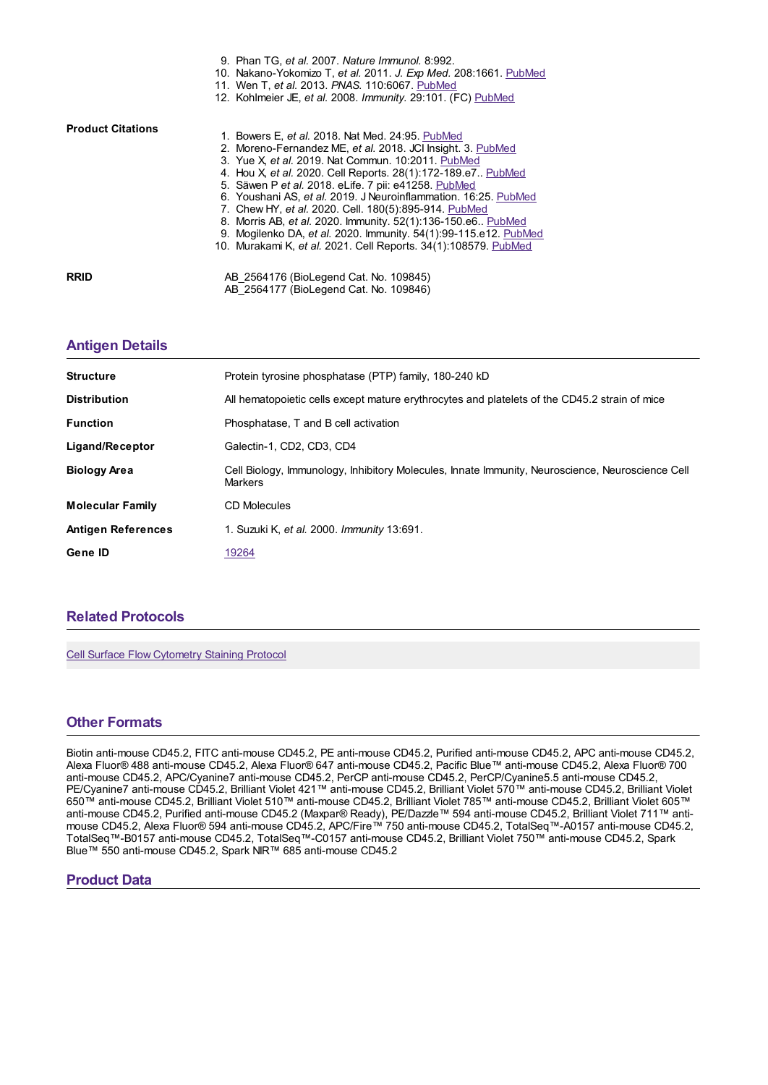|                          | 9. Phan TG, et al. 2007. Nature Immunol. 8:992.                  |
|--------------------------|------------------------------------------------------------------|
|                          | 10. Nakano-Yokomizo T, et al. 2011. J. Exp Med. 208:1661. PubMed |
|                          | 11. Wen T, et al. 2013. PNAS. 110:6067. PubMed                   |
|                          | 12. Kohlmeier JE, et al. 2008. Immunity. 29:101. (FC) PubMed     |
| <b>Product Citations</b> |                                                                  |
|                          | 1. Bowers E, et al. 2018. Nat Med. 24:95. PubMed                 |
|                          | 2. Moreno-Fernandez ME, et al. 2018. JCI Insight. 3. PubMed      |
|                          | 3. Yue X et al. 2019. Nat Commun. 10:2011. PubMed                |
|                          | 4. Hou X, et al. 2020. Cell Reports. 28(1):172-189.e7 PubMed     |
|                          | 5. Säwen P et al. 2018. eLife. 7 pii: e41258. PubMed             |
|                          | 6. Youshani AS, et al. 2019. J Neuroinflammation. 16:25. PubMed  |
|                          | 7. Chew HY, et al. 2020. Cell. 180(5):895-914. PubMed            |
|                          | 8. Morris AB, et al. 2020. Immunity. 52(1):136-150.e6 PubMed     |
|                          | 9. Mogilenko DA, et al. 2020. Immunity. 54(1):99-115.e12. PubMed |
|                          | 10. Murakami K, et al. 2021. Cell Reports. 34(1):108579. PubMed  |
| <b>RRID</b>              | AB 2564176 (BioLegend Cat. No. 109845)                           |
|                          | AB 2564177 (BioLegend Cat. No. 109846)                           |

#### **[Antigen](https://www.biolegend.com/ja-jp/products/pe-dazzle-594-anti-mouse-cd45-2-antibody-10261?pdf=true&displayInline=true&leftRightMargin=15&topBottomMargin=15&filename=PE/Dazzle%EF%BF%BD%EF%BF%BD%EF%BF%BD 594 anti-mouse CD45.2 Antibody.pdf#antigenDetails) Details**

| <b>Structure</b>          | Protein tyrosine phosphatase (PTP) family, 180-240 kD                                                              |
|---------------------------|--------------------------------------------------------------------------------------------------------------------|
| <b>Distribution</b>       | All hematopoietic cells except mature erythrocytes and platelets of the CD45.2 strain of mice                      |
| <b>Function</b>           | Phosphatase, T and B cell activation                                                                               |
| Ligand/Receptor           | Galectin-1, CD2, CD3, CD4                                                                                          |
| <b>Biology Area</b>       | Cell Biology, Immunology, Inhibitory Molecules, Innate Immunity, Neuroscience, Neuroscience Cell<br><b>Markers</b> |
| <b>Molecular Family</b>   | CD Molecules                                                                                                       |
| <b>Antigen References</b> | 1. Suzuki K, et al. 2000. Immunity 13:691.                                                                         |
| Gene ID                   | 19264                                                                                                              |

# **Related [Protocols](https://www.biolegend.com/ja-jp/products/pe-dazzle-594-anti-mouse-cd45-2-antibody-10261?pdf=true&displayInline=true&leftRightMargin=15&topBottomMargin=15&filename=PE/Dazzle%EF%BF%BD%EF%BF%BD%EF%BF%BD 594 anti-mouse CD45.2 Antibody.pdf#productRelatedProtocols)**

Cell Surface Flow [Cytometry](https://www.biolegend.com/protocols/cell-surface-flow-cytometry-staining-protocol/4283/) Staining Protocol

# **Other [Formats](https://www.biolegend.com/ja-jp/products/pe-dazzle-594-anti-mouse-cd45-2-antibody-10261?pdf=true&displayInline=true&leftRightMargin=15&topBottomMargin=15&filename=PE/Dazzle%EF%BF%BD%EF%BF%BD%EF%BF%BD 594 anti-mouse CD45.2 Antibody.pdf#productOtherFormats)**

Biotin anti-mouse CD45.2, FITC anti-mouse CD45.2, PE anti-mouse CD45.2, Purified anti-mouse CD45.2, APC anti-mouse CD45.2, Alexa Fluor® 488 anti-mouse CD45.2, Alexa Fluor® 647 anti-mouse CD45.2, Pacific Blue™ anti-mouse CD45.2, Alexa Fluor® 700 anti-mouse CD45.2, APC/Cyanine7 anti-mouse CD45.2, PerCP anti-mouse CD45.2, PerCP/Cyanine5.5 anti-mouse CD45.2, PE/Cyanine7 anti-mouse CD45.2, Brilliant Violet 421™ anti-mouse CD45.2, Brilliant Violet 570™ anti-mouse CD45.2, Brilliant Violet 650™ anti-mouse CD45.2, Brilliant Violet 510™ anti-mouse CD45.2, Brilliant Violet 785™ anti-mouse CD45.2, Brilliant Violet 605™ anti-mouse CD45.2, Purified anti-mouse CD45.2 (Maxpar® Ready), PE/Dazzle™ 594 anti-mouse CD45.2, Brilliant Violet 711™ antimouse CD45.2, Alexa Fluor® 594 anti-mouse CD45.2, APC/Fire™ 750 anti-mouse CD45.2, TotalSeq™-A0157 anti-mouse CD45.2, TotalSeq™-B0157 anti-mouse CD45.2, TotalSeq™-C0157 anti-mouse CD45.2, Brilliant Violet 750™ anti-mouse CD45.2, Spark Blue™ 550 anti-mouse CD45.2, Spark NIR™ 685 anti-mouse CD45.2

# **Product Data**